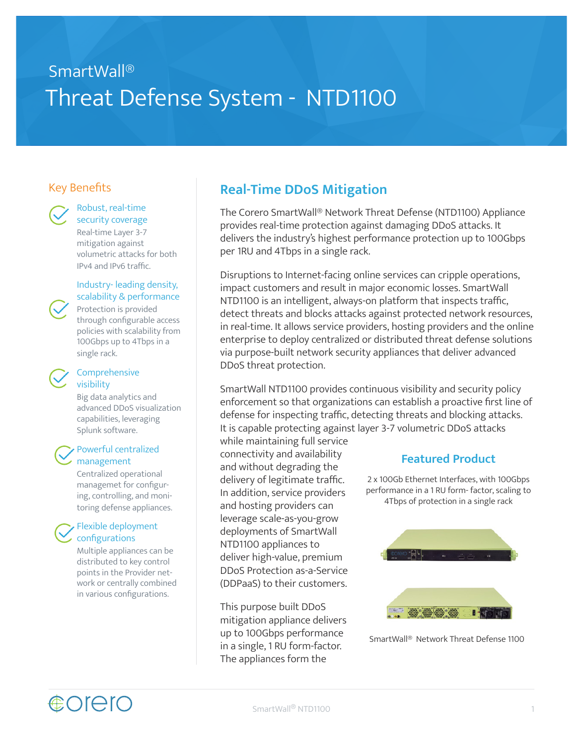# SmartWall® Threat Defense System - NTD1100

### Key Benefits



Robust, real-time security coverage

Real-time Layer 3-7 mitigation against volumetric attacks for both IPv4 and IPv6 traffic.

#### Industry- leading density, scalability & performance

Protection is provided through configurable access policies with scalability from 100Gbps up to 4Tbps in a single rack.

#### Comprehensive visibility

Big data analytics and advanced DDoS visualization capabilities, leveraging Splunk software.

#### Powerful centralized management

Centralized operational managemet for configuring, controlling, and monitoring defense appliances.

#### Flexible deployment configurations

Multiple appliances can be distributed to key control points in the Provider network or centrally combined in various configurations.

### **Real-Time DDoS Mitigation**

The Corero SmartWall® Network Threat Defense (NTD1100) Appliance provides real-time protection against damaging DDoS attacks. It delivers the industry's highest performance protection up to 100Gbps per 1RU and 4Tbps in a single rack.

Disruptions to Internet-facing online services can cripple operations, impact customers and result in major economic losses. SmartWall NTD1100 is an intelligent, always-on platform that inspects traffic, detect threats and blocks attacks against protected network resources, in real-time. It allows service providers, hosting providers and the online enterprise to deploy centralized or distributed threat defense solutions via purpose-built network security appliances that deliver advanced DDoS threat protection.

SmartWall NTD1100 provides continuous visibility and security policy enforcement so that organizations can establish a proactive first line of defense for inspecting traffic, detecting threats and blocking attacks. It is capable protecting against layer 3-7 volumetric DDoS attacks

while maintaining full service connectivity and availability and without degrading the delivery of legitimate traffic. In addition, service providers and hosting providers can leverage scale-as-you-grow deployments of SmartWall NTD1100 appliances to deliver high-value, premium DDoS Protection as-a-Service (DDPaaS) to their customers.

This purpose built DDoS mitigation appliance delivers up to 100Gbps performance in a single, 1 RU form-factor. The appliances form the

### **Featured Product**

2 x 100Gb Ethernet Interfaces, with 100Gbps performance in a 1 RU form- factor, scaling to 4Tbps of protection in a single rack



SmartWall® Network Threat Defense 1100

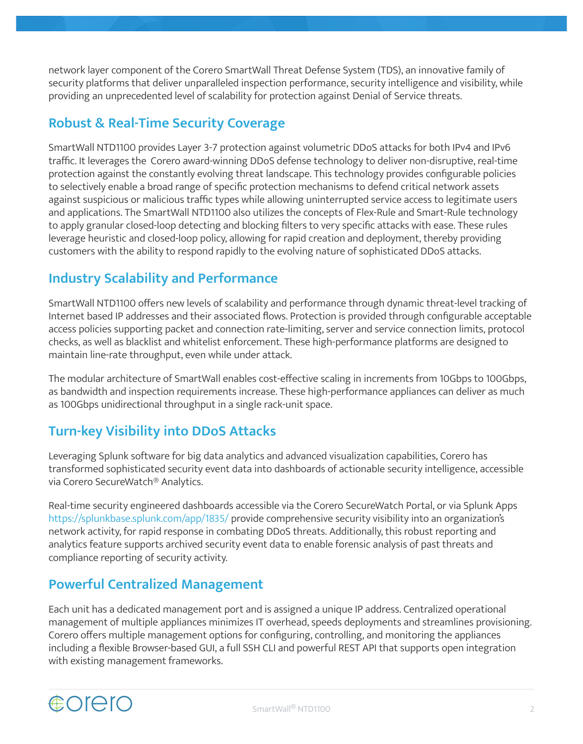network layer component of the Corero SmartWall Threat Defense System (TDS), an innovative family of security platforms that deliver unparalleled inspection performance, security intelligence and visibility, while providing an unprecedented level of scalability for protection against Denial of Service threats.

### **Robust & Real-Time Security Coverage**

SmartWall NTD1100 provides Layer 3-7 protection against volumetric DDoS attacks for both IPv4 and IPv6 traffic. It leverages the Corero award-winning DDoS defense technology to deliver non-disruptive, real-time protection against the constantly evolving threat landscape. This technology provides configurable policies to selectively enable a broad range of specific protection mechanisms to defend critical network assets against suspicious or malicious traffic types while allowing uninterrupted service access to legitimate users and applications. The SmartWall NTD1100 also utilizes the concepts of Flex-Rule and Smart-Rule technology to apply granular closed-loop detecting and blocking filters to very specific attacks with ease. These rules leverage heuristic and closed-loop policy, allowing for rapid creation and deployment, thereby providing customers with the ability to respond rapidly to the evolving nature of sophisticated DDoS attacks.

### **Industry Scalability and Performance**

SmartWall NTD1100 offers new levels of scalability and performance through dynamic threat-level tracking of Internet based IP addresses and their associated flows. Protection is provided through configurable acceptable access policies supporting packet and connection rate-limiting, server and service connection limits, protocol checks, as well as blacklist and whitelist enforcement. These high-performance platforms are designed to maintain line-rate throughput, even while under attack.

The modular architecture of SmartWall enables cost-effective scaling in increments from 10Gbps to 100Gbps, as bandwidth and inspection requirements increase. These high-performance appliances can deliver as much as 100Gbps unidirectional throughput in a single rack-unit space.

### **Turn-key Visibility into DDoS Attacks**

Leveraging Splunk software for big data analytics and advanced visualization capabilities, Corero has transformed sophisticated security event data into dashboards of actionable security intelligence, accessible via Corero SecureWatch® Analytics.

Real-time security engineered dashboards accessible via the Corero SecureWatch Portal, or via Splunk Apps https://splunkbase.splunk.com/app/1835/ provide comprehensive security visibility into an organization's network activity, for rapid response in combating DDoS threats. Additionally, this robust reporting and analytics feature supports archived security event data to enable forensic analysis of past threats and compliance reporting of security activity.

### **Powerful Centralized Management**

Each unit has a dedicated management port and is assigned a unique IP address. Centralized operational management of multiple appliances minimizes IT overhead, speeds deployments and streamlines provisioning. Corero offers multiple management options for configuring, controlling, and monitoring the appliances including a flexible Browser-based GUI, a full SSH CLI and powerful REST API that supports open integration with existing management frameworks.

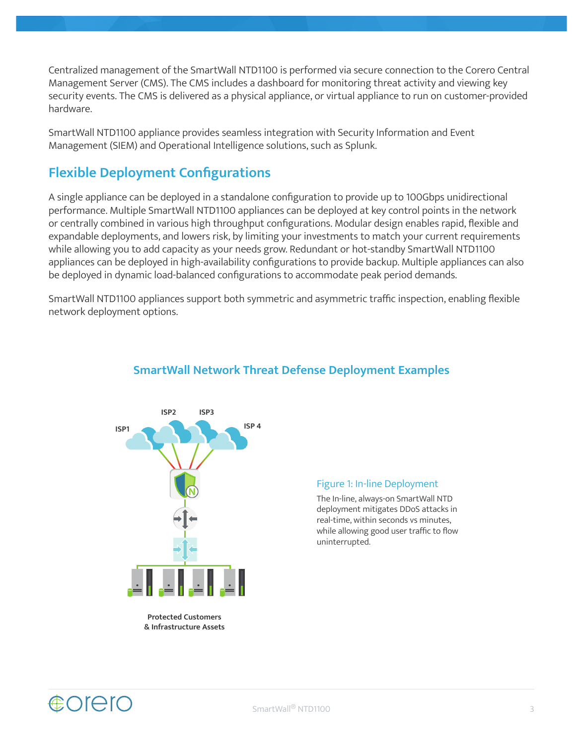Centralized management of the SmartWall NTD1100 is performed via secure connection to the Corero Central Management Server (CMS). The CMS includes a dashboard for monitoring threat activity and viewing key security events. The CMS is delivered as a physical appliance, or virtual appliance to run on customer-provided hardware.

SmartWall NTD1100 appliance provides seamless integration with Security Information and Event Management (SIEM) and Operational Intelligence solutions, such as Splunk.

### **Flexible Deployment Configurations**

A single appliance can be deployed in a standalone configuration to provide up to 100Gbps unidirectional performance. Multiple SmartWall NTD1100 appliances can be deployed at key control points in the network or centrally combined in various high throughput configurations. Modular design enables rapid, flexible and expandable deployments, and lowers risk, by limiting your investments to match your current requirements while allowing you to add capacity as your needs grow. Redundant or hot-standby SmartWall NTD1100 appliances can be deployed in high-availability configurations to provide backup. Multiple appliances can also be deployed in dynamic load-balanced configurations to accommodate peak period demands.

SmartWall NTD1100 appliances support both symmetric and asymmetric traffic inspection, enabling flexible network deployment options.



#### **SmartWall Network Threat Defense Deployment Examples**

#### Figure 1: In-line Deployment

The In-line, always-on SmartWall NTD deployment mitigates DDoS attacks in real-time, within seconds vs minutes, while allowing good user traffic to flow uninterrupted.

**Protected Customers & Infrastructure Assets**

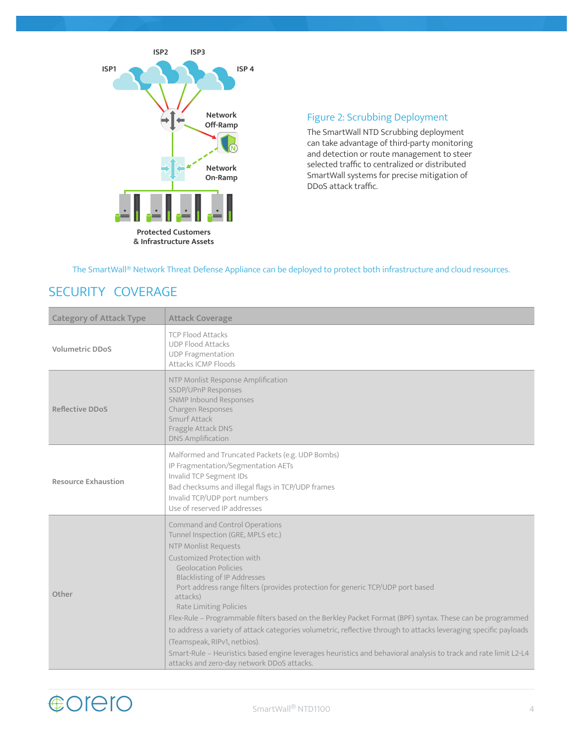

### Figure 2: Scrubbing Deployment

The SmartWall NTD Scrubbing deployment can take advantage of third-party monitoring and detection or route management to steer selected traffic to centralized or distributed SmartWall systems for precise mitigation of DDoS attack traffic.

The SmartWall® Network Threat Defense Appliance can be deployed to protect both infrastructure and cloud resources.

### SECURITY COVERAGE

| <b>Category of Attack Type</b> | <b>Attack Coverage</b>                                                                                                                                                                                                                                                                                                                                                                                                                                                                                                                                                                                                                                                                                                                                     |  |
|--------------------------------|------------------------------------------------------------------------------------------------------------------------------------------------------------------------------------------------------------------------------------------------------------------------------------------------------------------------------------------------------------------------------------------------------------------------------------------------------------------------------------------------------------------------------------------------------------------------------------------------------------------------------------------------------------------------------------------------------------------------------------------------------------|--|
| <b>Volumetric DDoS</b>         | <b>TCP Flood Attacks</b><br><b>UDP Flood Attacks</b><br><b>UDP Fragmentation</b><br>Attacks ICMP Floods                                                                                                                                                                                                                                                                                                                                                                                                                                                                                                                                                                                                                                                    |  |
| <b>Reflective DDoS</b>         | NTP Monlist Response Amplification<br>SSDP/UPnP Responses<br><b>SNMP Inbound Responses</b><br>Chargen Responses<br>Smurf Attack<br>Fraggle Attack DNS<br><b>DNS Amplification</b>                                                                                                                                                                                                                                                                                                                                                                                                                                                                                                                                                                          |  |
| <b>Resource Exhaustion</b>     | Malformed and Truncated Packets (e.g. UDP Bombs)<br>IP Fragmentation/Segmentation AETs<br>Invalid TCP Segment IDs<br>Bad checksums and illegal flags in TCP/UDP frames<br>Invalid TCP/UDP port numbers<br>Use of reserved IP addresses                                                                                                                                                                                                                                                                                                                                                                                                                                                                                                                     |  |
| Other                          | Command and Control Operations<br>Tunnel Inspection (GRE, MPLS etc.)<br>NTP Monlist Requests<br>Customized Protection with<br><b>Geolocation Policies</b><br><b>Blacklisting of IP Addresses</b><br>Port address range filters (provides protection for generic TCP/UDP port based<br>attacks)<br>Rate Limiting Policies<br>Flex-Rule - Programmable filters based on the Berkley Packet Format (BPF) syntax. These can be programmed<br>to address a variety of attack categories volumetric, reflective through to attacks leveraging specific payloads<br>(Teamspeak, RIPv1, netbios).<br>Smart-Rule - Heuristics based engine leverages heuristics and behavioral analysis to track and rate limit L2-L4<br>attacks and zero-day network DDoS attacks. |  |

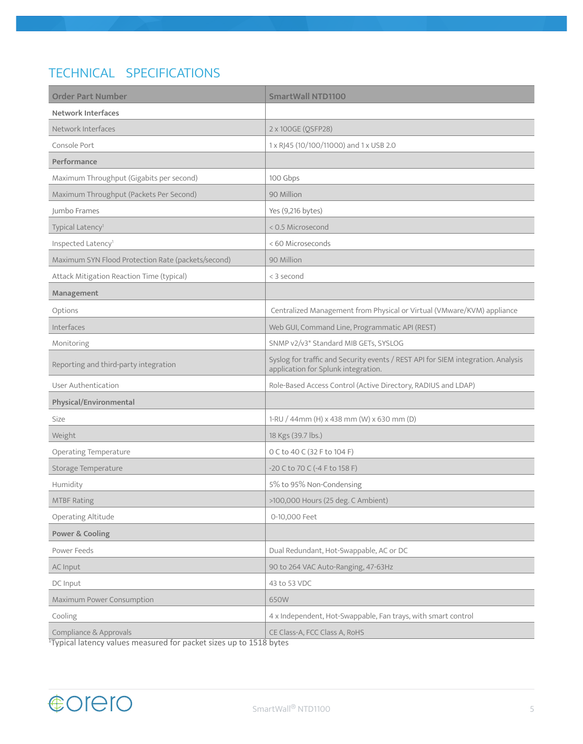## TECHNICAL SPECIFICATIONS

| <b>Order Part Number</b>                           | <b>SmartWall NTD1100</b>                                                                                                |
|----------------------------------------------------|-------------------------------------------------------------------------------------------------------------------------|
| <b>Network Interfaces</b>                          |                                                                                                                         |
| Network Interfaces                                 | 2 x 100GE (QSFP28)                                                                                                      |
| Console Port                                       | 1 x RJ45 (10/100/11000) and 1 x USB 2.0                                                                                 |
| Performance                                        |                                                                                                                         |
| Maximum Throughput (Gigabits per second)           | 100 Gbps                                                                                                                |
| Maximum Throughput (Packets Per Second)            | 90 Million                                                                                                              |
| Jumbo Frames                                       | Yes (9,216 bytes)                                                                                                       |
| Typical Latency <sup>1</sup>                       | < 0.5 Microsecond                                                                                                       |
| Inspected Latency <sup>1</sup>                     | < 60 Microseconds                                                                                                       |
| Maximum SYN Flood Protection Rate (packets/second) | 90 Million                                                                                                              |
| Attack Mitigation Reaction Time (typical)          | < 3 second                                                                                                              |
| Management                                         |                                                                                                                         |
| Options                                            | Centralized Management from Physical or Virtual (VMware/KVM) appliance                                                  |
| Interfaces                                         | Web GUI, Command Line, Programmatic API (REST)                                                                          |
| Monitoring                                         | SNMP v2/v3* Standard MIB GETs, SYSLOG                                                                                   |
| Reporting and third-party integration              | Syslog for traffic and Security events / REST API for SIEM integration. Analysis<br>application for Splunk integration. |
| User Authentication                                | Role-Based Access Control (Active Directory, RADIUS and LDAP)                                                           |
| Physical/Environmental                             |                                                                                                                         |
| Size                                               | 1-RU / 44mm (H) x 438 mm (W) x 630 mm (D)                                                                               |
| Weight                                             | 18 Kgs (39.7 lbs.)                                                                                                      |
| <b>Operating Temperature</b>                       | 0 C to 40 C (32 F to 104 F)                                                                                             |
| Storage Temperature                                | -20 C to 70 C (-4 F to 158 F)                                                                                           |
| Humidity                                           | 5% to 95% Non-Condensing                                                                                                |
| <b>MTBF Rating</b>                                 | >100,000 Hours (25 deg. C Ambient)                                                                                      |
| Operating Altitude                                 | 0-10,000 Feet                                                                                                           |
| Power & Cooling                                    |                                                                                                                         |
| Power Feeds                                        | Dual Redundant, Hot-Swappable, AC or DC                                                                                 |
| AC Input                                           | 90 to 264 VAC Auto-Ranging, 47-63Hz                                                                                     |
| DC Input                                           | 43 to 53 VDC                                                                                                            |
| Maximum Power Consumption                          | 650W                                                                                                                    |
| Cooling                                            | 4 x Independent, Hot-Swappable, Fan trays, with smart control                                                           |
| Compliance & Approvals<br>moscured for nacket      | CE Class-A, FCC Class A, RoHS                                                                                           |

1 Typical latency values measured for packet sizes up to 1518 bytes